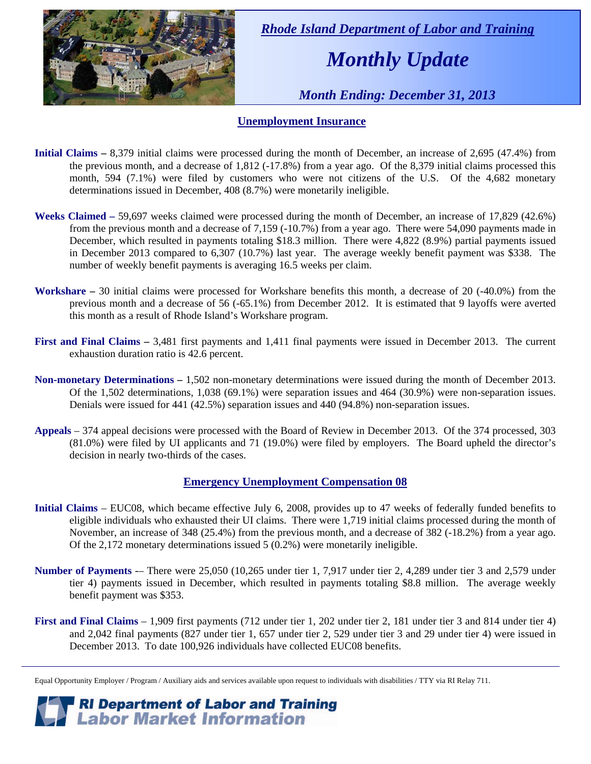

 *Rhode Island Department of Labor and Training* 

# *Monthly Update*

 *Month Ending: December 31, 2013* 

### **Unemployment Insurance**

- **Initial Claims** 8,379 initial claims were processed during the month of December, an increase of 2,695 (47.4%) from the previous month, and a decrease of 1,812 (-17.8%) from a year ago. Of the 8,379 initial claims processed this month, 594 (7.1%) were filed by customers who were not citizens of the U.S. Of the 4,682 monetary determinations issued in December, 408 (8.7%) were monetarily ineligible.
- **Weeks Claimed** 59,697 weeks claimed were processed during the month of December, an increase of 17,829 (42.6%) from the previous month and a decrease of 7,159 (-10.7%) from a year ago. There were 54,090 payments made in December, which resulted in payments totaling \$18.3 million. There were 4,822 (8.9%) partial payments issued in December 2013 compared to 6,307 (10.7%) last year. The average weekly benefit payment was \$338. The number of weekly benefit payments is averaging 16.5 weeks per claim.
- **Workshare –** 30 initial claims were processed for Workshare benefits this month, a decrease of 20 (-40.0%) from the previous month and a decrease of 56 (-65.1%) from December 2012. It is estimated that 9 layoffs were averted this month as a result of Rhode Island's Workshare program.
- **First and Final Claims –** 3,481 first payments and 1,411 final payments were issued in December 2013. The current exhaustion duration ratio is 42.6 percent.
- **Non-monetary Determinations –** 1,502 non-monetary determinations were issued during the month of December 2013. Of the 1,502 determinations, 1,038 (69.1%) were separation issues and 464 (30.9%) were non-separation issues. Denials were issued for 441 (42.5%) separation issues and 440 (94.8%) non-separation issues.
- **Appeals** 374 appeal decisions were processed with the Board of Review in December 2013. Of the 374 processed, 303 (81.0%) were filed by UI applicants and 71 (19.0%) were filed by employers. The Board upheld the director's decision in nearly two-thirds of the cases.

#### **Emergency Unemployment Compensation 08**

- **Initial Claims**  EUC08, which became effective July 6, 2008, provides up to 47 weeks of federally funded benefits to eligible individuals who exhausted their UI claims. There were 1,719 initial claims processed during the month of November, an increase of 348 (25.4%) from the previous month, and a decrease of 382 (-18.2%) from a year ago. Of the 2,172 monetary determinations issued 5 (0.2%) were monetarily ineligible.
- **Number of Payments** -– There were 25,050 (10,265 under tier 1, 7,917 under tier 2, 4,289 under tier 3 and 2,579 under tier 4) payments issued in December, which resulted in payments totaling \$8.8 million. The average weekly benefit payment was \$353.
- **First and Final Claims**  1,909 first payments (712 under tier 1, 202 under tier 2, 181 under tier 3 and 814 under tier 4) and 2,042 final payments (827 under tier 1, 657 under tier 2, 529 under tier 3 and 29 under tier 4) were issued in December 2013. To date 100,926 individuals have collected EUC08 benefits.

*RI Department of Labor and Training*<br>*Labor Market Information* 

Equal Opportunity Employer / Program / Auxiliary aids and services available upon request to individuals with disabilities / TTY via RI Relay 711.